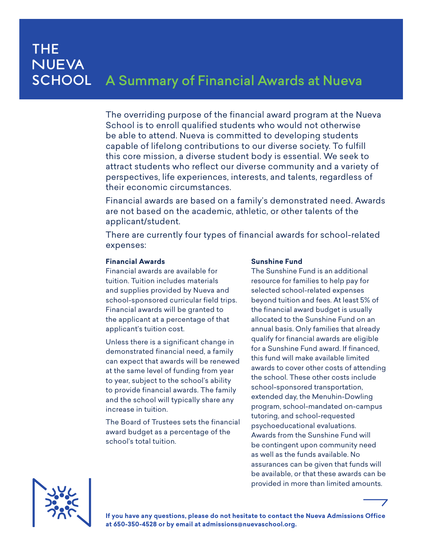## **THE NUEVA SCHOOL** A Summary of Financial Awards at Nueva

The overriding purpose of the financial award program at the Nueva School is to enroll qualified students who would not otherwise be able to attend. Nueva is committed to developing students capable of lifelong contributions to our diverse society. To fulfill this core mission, a diverse student body is essential. We seek to attract students who reflect our diverse community and a variety of perspectives, life experiences, interests, and talents, regardless of their economic circumstances.

Financial awards are based on a family's demonstrated need. Awards are not based on the academic, athletic, or other talents of the applicant/student.

There are currently four types of financial awards for school-related expenses:

### **Financial Awards**

Financial awards are available for tuition. Tuition includes materials and supplies provided by Nueva and school-sponsored curricular field trips. Financial awards will be granted to the applicant at a percentage of that applicant's tuition cost.

Unless there is a significant change in demonstrated financial need, a family can expect that awards will be renewed at the same level of funding from year to year, subject to the school's ability to provide financial awards. The family and the school will typically share any increase in tuition.

The Board of Trustees sets the financial award budget as a percentage of the school's total tuition.

### **Sunshine Fund**

The Sunshine Fund is an additional resource for families to help pay for selected school-related expenses beyond tuition and fees. At least 5% of the financial award budget is usually allocated to the Sunshine Fund on an annual basis. Only families that already qualify for financial awards are eligible for a Sunshine Fund award. If financed, this fund will make available limited awards to cover other costs of attending the school. These other costs include school-sponsored transportation, extended day, the Menuhin-Dowling program, school-mandated on-campus tutoring, and school-requested psychoeducational evaluations. Awards from the Sunshine Fund will be contingent upon community need as well as the funds available. No assurances can be given that funds will be available, or that these awards can be provided in more than limited amounts.



**If you have any questions, please do not hesitate to contact the Nueva Admissions Office at 650-350-4528 or by email at admissions@nuevaschool.org.**